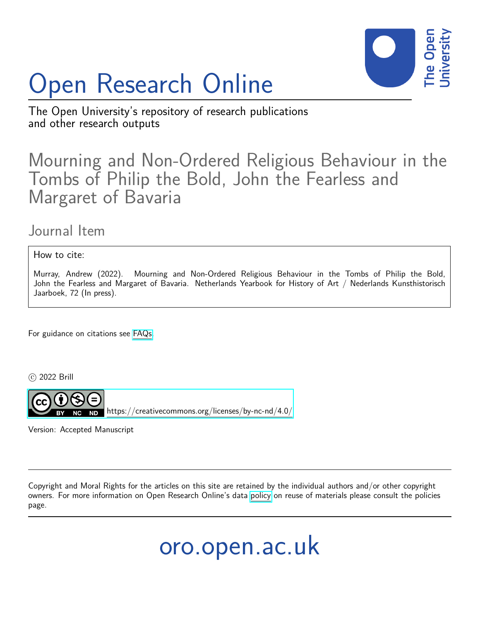

# Open Research Online

The Open University's repository of research publications and other research outputs

## Mourning and Non-Ordered Religious Behaviour in the Tombs of Philip the Bold, John the Fearless and Margaret of Bavaria

### Journal Item

How to cite:

Murray, Andrew (2022). Mourning and Non-Ordered Religious Behaviour in the Tombs of Philip the Bold, John the Fearless and Margaret of Bavaria. Netherlands Yearbook for History of Art / Nederlands Kunsthistorisch Jaarboek, 72 (In press).

For guidance on citations see [FAQs.](http://oro.open.ac.uk/help/helpfaq.html)

c 2022 Brill



<https://creativecommons.org/licenses/by-nc-nd/4.0/>

Version: Accepted Manuscript

Copyright and Moral Rights for the articles on this site are retained by the individual authors and/or other copyright owners. For more information on Open Research Online's data [policy](http://oro.open.ac.uk/policies.html) on reuse of materials please consult the policies page.

oro.open.ac.uk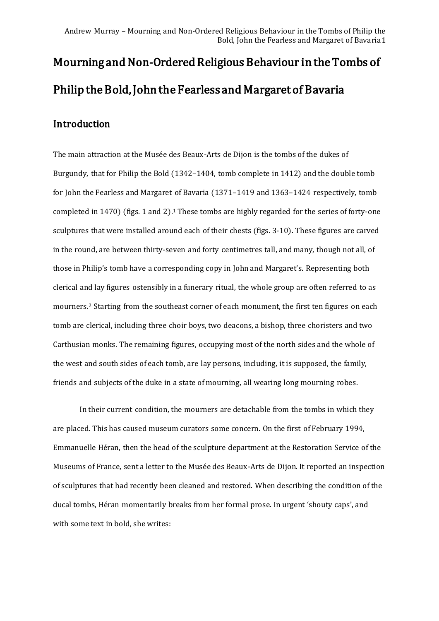#### Introduction

The main attraction at the Musée des Beaux-Arts de Dijon is the tombs of the dukes of Burgundy, that for Philip the Bold (1342–1404, tomb complete in 1412) and the double tomb for John the Fearless and Margaret of Bavaria (1371–1419 and 1363–1424 respectively, tomb completed in 1470) (figs. 1 and 2).<sup>1</sup> These tombs are highly regarded for the series of forty-one sculptures that were installed around each of their chests (figs. 3-10). These figures are carved in the round, are between thirty-seven and forty centimetres tall, and many, though not all, of those in Philip's tomb have a corresponding copy in John and Margaret's. Representing both clerical and lay figures ostensibly in a funerary ritual, the whole group are often referred to as mourners.<sup>2</sup> Starting from the southeast corner of each monument, the first ten figures on each tomb are clerical, including three choir boys, two deacons, a bishop, three choristers and two Carthusian monks. The remaining figures, occupying most of the north sides and the whole of the west and south sides of each tomb, are lay persons, including, it is supposed, the family, friends and subjects of the duke in a state of mourning, all wearing long mourning robes.

In their current condition, the mourners are detachable from the tombs in which they are placed. This has caused museum curators some concern. On the first of February 1994, Emmanuelle Héran, then the head of the sculpture department at the Restoration Service of the Museums of France, sent a letter to the Musée des Beaux-Arts de Dijon. It reported an inspection of sculptures that had recently been cleaned and restored. When describing the condition of the ducal tombs, Héran momentarily breaks from her formal prose. In urgent 'shouty caps', and with some text in bold, she writes: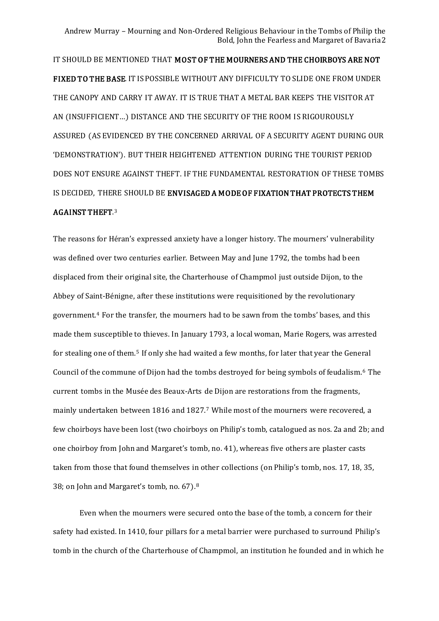IT SHOULD BE MENTIONED THAT MOST OF THE MOURNERS AND THE CHOIRBOYS ARE NOT FIXED TO THE BASE. IT IS POSSIBLE WITHOUT ANY DIFFICULTY TO SLIDE ONE FROM UNDER THE CANOPY AND CARRY IT AWAY. IT IS TRUE THAT A METAL BAR KEEPS THE VISITOR AT AN (INSUFFICIENT…) DISTANCE AND THE SECURITY OF THE ROOM IS RIGOUROUSLY ASSURED (AS EVIDENCED BY THE CONCERNED ARRIVAL OF A SECURITY AGENT DURING OUR 'DEMONSTRATION'). BUT THEIR HEIGHTENED ATTENTION DURING THE TOURIST PERIOD DOES NOT ENSURE AGAINST THEFT. IF THE FUNDAMENTAL RESTORATION OF THESE TOMBS IS DECIDED, THERE SHOULD BE ENVISAGED A MODE OF FIXATION THAT PROTECTS THEM AGAINST THEFT. 3

The reasons for Héran's expressed anxiety have a longer history. The mourners' vulnerability was defined over two centuries earlier. Between May and June 1792, the tombs had been displaced from their original site, the Charterhouse of Champmol just outside Dijon, to the Abbey of Saint-Bénigne, after these institutions were requisitioned by the revolutionary government.<sup>4</sup> For the transfer, the mourners had to be sawn from the tombs' bases, and this made them susceptible to thieves. In January 1793, a local woman, Marie Rogers, was arrested for stealing one of them.<sup>5</sup> If only she had waited a few months, for later that year the General Council of the commune of Dijon had the tombs destroyed for being symbols of feudalism.<sup>6</sup> The current tombs in the Musée des Beaux-Arts de Dijon are restorations from the fragments, mainly undertaken between 1816 and 1827.<sup>7</sup> While most of the mourners were recovered, a few choirboys have been lost (two choirboys on Philip's tomb, catalogued as nos. 2a and 2b; and one choirboy from John and Margaret's tomb, no. 41), whereas five others are plaster casts taken from those that found themselves in other collections (on Philip's tomb, nos. 17, 18, 35, 38; on John and Margaret's tomb, no. 67).<sup>8</sup>

Even when the mourners were secured onto the base of the tomb, a concern for their safety had existed. In 1410, four pillars for a metal barrier were purchased to surround Philip's tomb in the church of the Charterhouse of Champmol, an institution he founded and in which he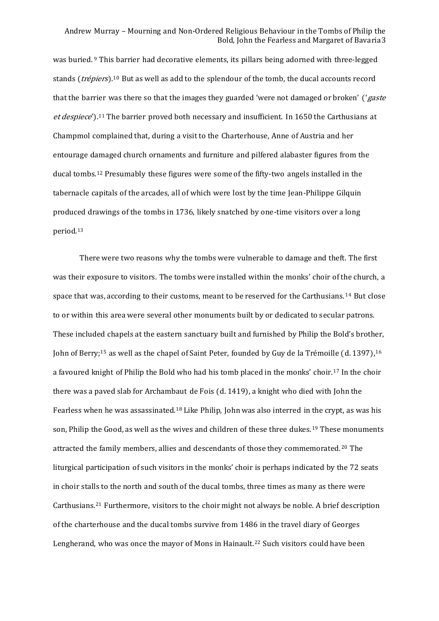was buried. <sup>9</sup> This barrier had decorative elements, its pillars being adorned with three-legged stands (*trépiers*).<sup>10</sup> But as well as add to the splendour of the tomb, the ducal accounts record that the barrier was there so that the images they guarded 'were not damaged or broken' ('*gaste* et despiece').<sup>11</sup> The barrier proved both necessary and insufficient. In 1650 the Carthusians at Champmol complained that, during a visit to the Charterhouse, Anne of Austria and her entourage damaged church ornaments and furniture and pilfered alabaster figures from the ducal tombs.<sup>12</sup> Presumably these figures were some of the fifty-two angels installed in the tabernacle capitals of the arcades, all of which were lost by the time Jean-Philippe Gilquin produced drawings of the tombs in 1736, likely snatched by one-time visitors over a long period.<sup>13</sup>

There were two reasons why the tombs were vulnerable to damage and theft. The first was their exposure to visitors. The tombs were installed within the monks' choir of the church, a space that was, according to their customs, meant to be reserved for the Carthusians. <sup>14</sup> But close to or within this area were several other monuments built by or dedicated to secular patrons. These included chapels at the eastern sanctuary built and furnished by Philip the Bold's brother, John of Berry;<sup>15</sup> as well as the chapel of Saint Peter, founded by Guy de la Trémoille (d. 1397),<sup>16</sup> a favoured knight of Philip the Bold who had his tomb placed in the monks' choir.<sup>17</sup> In the choir there was a paved slab for Archambaut de Fois (d. 1419), a knight who died with John the Fearless when he was assassinated.<sup>18</sup> Like Philip, John was also interred in the crypt, as was his son, Philip the Good, as well as the wives and children of these three dukes.<sup>19</sup> These monuments attracted the family members, allies and descendants of those they commemorated. <sup>20</sup> The liturgical participation of such visitors in the monks' choir is perhaps indicated by the 72 seats in choir stalls to the north and south of the ducal tombs, three times as many as there were Carthusians.<sup>21</sup> Furthermore, visitors to the choir might not always be noble. A brief description of the charterhouse and the ducal tombs survive from 1486 in the travel diary of Georges Lengherand, who was once the mayor of Mons in Hainault.<sup>22</sup> Such visitors could have been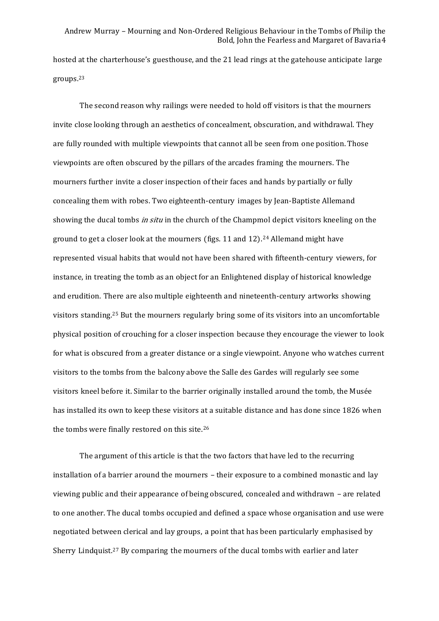hosted at the charterhouse's guesthouse, and the 21 lead rings at the gatehouse anticipate large groups.<sup>23</sup>

The second reason why railings were needed to hold off visitors is that the mourners invite close looking through an aesthetics of concealment, obscuration, and withdrawal. They are fully rounded with multiple viewpoints that cannot all be seen from one position. Those viewpoints are often obscured by the pillars of the arcades framing the mourners. The mourners further invite a closer inspection of their faces and hands by partially or fully concealing them with robes. Two eighteenth-century images by Jean-Baptiste Allemand showing the ducal tombs *in situ* in the church of the Champmol depict visitors kneeling on the ground to get a closer look at the mourners (figs. 11 and 12).<sup>24</sup> Allemand might have represented visual habits that would not have been shared with fifteenth-century viewers, for instance, in treating the tomb as an object for an Enlightened display of historical knowledge and erudition. There are also multiple eighteenth and nineteenth-century artworks showing visitors standing.<sup>25</sup> But the mourners regularly bring some of its visitors into an uncomfortable physical position of crouching for a closer inspection because they encourage the viewer to look for what is obscured from a greater distance or a single viewpoint. Anyone who watches current visitors to the tombs from the balcony above the Salle des Gardes will regularly see some visitors kneel before it. Similar to the barrier originally installed around the tomb, the Musée has installed its own to keep these visitors at a suitable distance and has done since 1826 when the tombs were finally restored on this site.<sup>26</sup>

The argument of this article is that the two factors that have led to the recurring installation of a barrier around the mourners – their exposure to a combined monastic and lay viewing public and their appearance of being obscured, concealed and withdrawn – are related to one another. The ducal tombs occupied and defined a space whose organisation and use were negotiated between clerical and lay groups, a point that has been particularly emphasised by Sherry Lindquist. <sup>27</sup> By comparing the mourners of the ducal tombs with earlier and later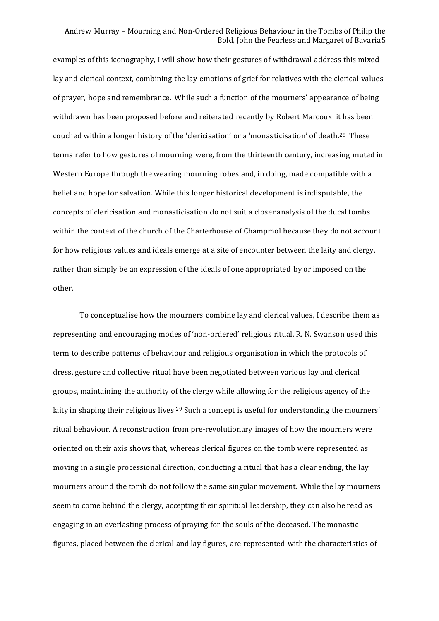examples of this iconography, I will show how their gestures of withdrawal address this mixed lay and clerical context, combining the lay emotions of grief for relatives with the clerical values of prayer, hope and remembrance. While such a function of the mourners' appearance of being withdrawn has been proposed before and reiterated recently by Robert Marcoux, it has been couched within a longer history of the 'clericisation' or a 'monasticisation' of death.<sup>28</sup> These terms refer to how gestures of mourning were, from the thirteenth century, increasing muted in Western Europe through the wearing mourning robes and, in doing, made compatible with a belief and hope for salvation. While this longer historical development is indisputable, the concepts of clericisation and monasticisation do not suit a closer analysis of the ducal tombs within the context of the church of the Charterhouse of Champmol because they do not account for how religious values and ideals emerge at a site of encounter between the laity and clergy, rather than simply be an expression of the ideals of one appropriated by or imposed on the other.

To conceptualise how the mourners combine lay and clerical values, I describe them as representing and encouraging modes of 'non-ordered' religious ritual. R. N. Swanson used this term to describe patterns of behaviour and religious organisation in which the protocols of dress, gesture and collective ritual have been negotiated between various lay and clerical groups, maintaining the authority of the clergy while allowing for the religious agency of the laity in shaping their religious lives.<sup>29</sup> Such a concept is useful for understanding the mourners' ritual behaviour. A reconstruction from pre-revolutionary images of how the mourners were oriented on their axis shows that, whereas clerical figures on the tomb were represented as moving in a single processional direction, conducting a ritual that has a clear ending, the lay mourners around the tomb do not follow the same singular movement. While the lay mourners seem to come behind the clergy, accepting their spiritual leadership, they can also be read as engaging in an everlasting process of praying for the souls of the deceased. The monastic figures, placed between the clerical and lay figures, are represented with the characteristics of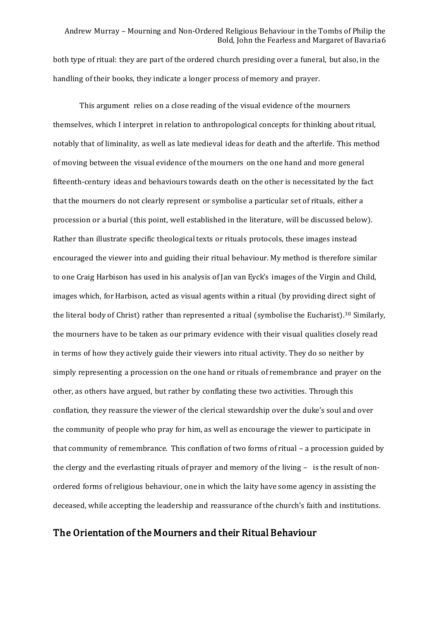both type of ritual: they are part of the ordered church presiding over a funeral, but also, in the handling of their books, they indicate a longer process of memory and prayer.

This argument relies on a close reading of the visual evidence of the mourners themselves, which I interpret in relation to anthropological concepts for thinking about ritual, notably that of liminality, as well as late medieval ideas for death and the afterlife. This method of moving between the visual evidence of the mourners on the one hand and more general fifteenth-century ideas and behaviours towards death on the other is necessitated by the fact that the mourners do not clearly represent or symbolise a particular set of rituals, either a procession or a burial (this point, well established in the literature, will be discussed below). Rather than illustrate specific theological texts or rituals protocols, these images instead encouraged the viewer into and guiding their ritual behaviour. My method is therefore similar to one Craig Harbison has used in his analysis of Jan van Eyck's images of the Virgin and Child, images which, for Harbison, acted as visual agents within a ritual (by providing direct sight of the literal body of Christ) rather than represented a ritual (symbolise the Eucharist).<sup>30</sup> Similarly, the mourners have to be taken as our primary evidence with their visual qualities closely read in terms of how they actively guide their viewers into ritual activity. They do so neither by simply representing a procession on the one hand or rituals of remembrance and prayer on the other, as others have argued, but rather by conflating these two activities. Through this conflation, they reassure the viewer of the clerical stewardship over the duke's soul and over the community of people who pray for him, as well as encourage the viewer to participate in that community of remembrance. This conflation of two forms of ritual – a procession guided by the clergy and the everlasting rituals of prayer and memory of the living – is the result of nonordered forms of religious behaviour, one in which the laity have some agency in assisting the deceased, while accepting the leadership and reassurance of the church's faith and institutions.

#### The Orientation of the Mourners and their Ritual Behaviour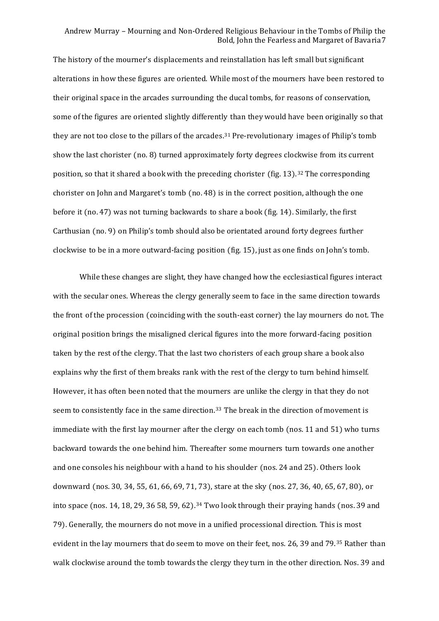The history of the mourner's displacements and reinstallation has left small but significant alterations in how these figures are oriented. While most of the mourners have been restored to their original space in the arcades surrounding the ducal tombs, for reasons of conservation, some of the figures are oriented slightly differently than they would have been originally so that they are not too close to the pillars of the arcades.<sup>31</sup> Pre-revolutionary images of Philip's tomb show the last chorister (no. 8) turned approximately forty degrees clockwise from its current position, so that it shared a book with the preceding chorister (fig. 13).<sup>32</sup> The corresponding chorister on John and Margaret's tomb (no. 48) is in the correct position, although the one before it (no. 47) was not turning backwards to share a book (fig. 14). Similarly, the first Carthusian (no. 9) on Philip's tomb should also be orientated around forty degrees further clockwise to be in a more outward-facing position (fig. 15), just as one finds on John's tomb.

While these changes are slight, they have changed how the ecclesiastical figures interact with the secular ones. Whereas the clergy generally seem to face in the same direction towards the front of the procession (coinciding with the south-east corner) the lay mourners do not. The original position brings the misaligned clerical figures into the more forward-facing position taken by the rest of the clergy. That the last two choristers of each group share a book also explains why the first of them breaks rank with the rest of the clergy to turn behind himself. However, it has often been noted that the mourners are unlike the clergy in that they do not seem to consistently face in the same direction.<sup>33</sup> The break in the direction of movement is immediate with the first lay mourner after the clergy on each tomb (nos. 11 and 51) who turns backward towards the one behind him. Thereafter some mourners turn towards one another and one consoles his neighbour with a hand to his shoulder (nos. 24 and 25). Others look downward (nos. 30, 34, 55, 61, 66, 69, 71, 73), stare at the sky (nos. 27, 36, 40, 65, 67, 80), or into space (nos. 14, 18, 29, 36 58, 59, 62).<sup>34</sup> Two look through their praying hands (nos. 39 and 79). Generally, the mourners do not move in a unified processional direction. This is most evident in the lay mourners that do seem to move on their feet, nos. 26, 39 and 79.35 Rather than walk clockwise around the tomb towards the clergy they turn in the other direction. Nos. 39 and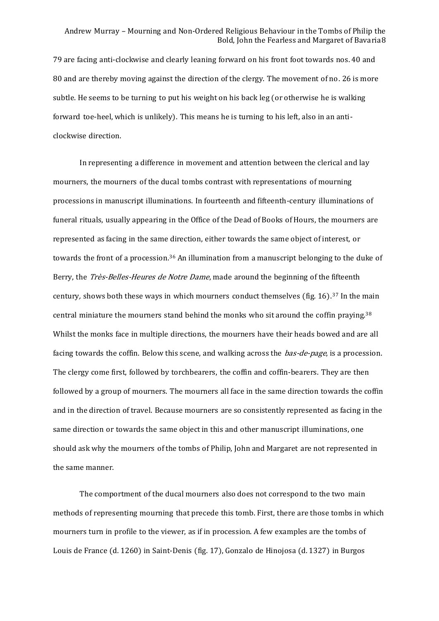79 are facing anti-clockwise and clearly leaning forward on his front foot towards nos. 40 and 80 and are thereby moving against the direction of the clergy. The movement of no. 26 is more subtle. He seems to be turning to put his weight on his back leg (or otherwise he is walking forward toe-heel, which is unlikely). This means he is turning to his left, also in an anticlockwise direction.

In representing a difference in movement and attention between the clerical and lay mourners, the mourners of the ducal tombs contrast with representations of mourning processions in manuscript illuminations. In fourteenth and fifteenth-century illuminations of funeral rituals, usually appearing in the Office of the Dead of Books of Hours, the mourners are represented as facing in the same direction, either towards the same object of interest, or towards the front of a procession.<sup>36</sup> An illumination from a manuscript belonging to the duke of Berry, the *Très-Belles-Heures de Notre Dame*, made around the beginning of the fifteenth century, shows both these ways in which mourners conduct themselves (fig. 16).<sup>37</sup> In the main central miniature the mourners stand behind the monks who sit around the coffin praying.<sup>38</sup> Whilst the monks face in multiple directions, the mourners have their heads bowed and are all facing towards the coffin. Below this scene, and walking across the *bas-de-page*, is a procession. The clergy come first, followed by torchbearers, the coffin and coffin-bearers. They are then followed by a group of mourners. The mourners all face in the same direction towards the coffin and in the direction of travel. Because mourners are so consistently represented as facing in the same direction or towards the same object in this and other manuscript illuminations, one should ask why the mourners of the tombs of Philip, John and Margaret are not represented in the same manner.

The comportment of the ducal mourners also does not correspond to the two main methods of representing mourning that precede this tomb. First, there are those tombs in which mourners turn in profile to the viewer, as if in procession. A few examples are the tombs of Louis de France (d. 1260) in Saint-Denis (fig. 17), Gonzalo de Hinojosa (d. 1327) in Burgos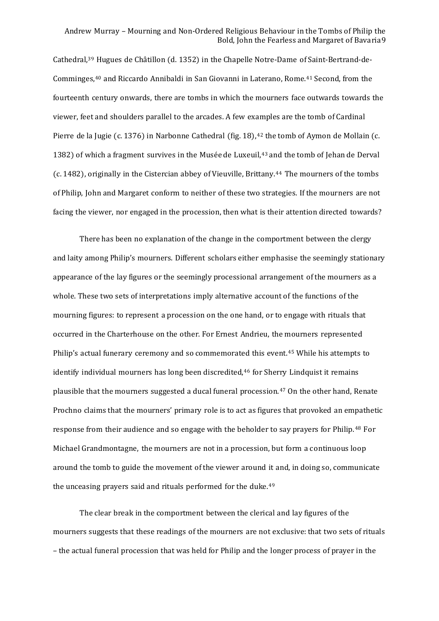Cathedral,<sup>39</sup> Hugues de Châtillon (d. 1352) in the Chapelle Notre-Dame of Saint-Bertrand-de-Comminges,<sup>40</sup> and Riccardo Annibaldi in San Giovanni in Laterano, Rome.<sup>41</sup> Second, from the fourteenth century onwards, there are tombs in which the mourners face outwards towards the viewer, feet and shoulders parallel to the arcades. A few examples are the tomb of Cardinal Pierre de la Jugie (c. 1376) in Narbonne Cathedral (fig. 18), <sup>42</sup> the tomb of Aymon de Mollain (c. 1382) of which a fragment survives in the Musée de Luxeuil,<sup>43</sup> and the tomb of Jehan de Derval (c. 1482), originally in the Cistercian abbey of Vieuville, Brittany.<sup>44</sup> The mourners of the tombs of Philip, John and Margaret conform to neither of these two strategies. If the mourners are not facing the viewer, nor engaged in the procession, then what is their attention directed towards?

There has been no explanation of the change in the comportment between the clergy and laity among Philip's mourners. Different scholars either emphasise the seemingly stationary appearance of the lay figures or the seemingly processional arrangement of the mourners as a whole. These two sets of interpretations imply alternative account of the functions of the mourning figures: to represent a procession on the one hand, or to engage with rituals that occurred in the Charterhouse on the other. For Ernest Andrieu, the mourners represented Philip's actual funerary ceremony and so commemorated this event.<sup>45</sup> While his attempts to identify individual mourners has long been discredited,<sup>46</sup> for Sherry Lindquist it remains plausible that the mourners suggested a ducal funeral procession.<sup>47</sup> On the other hand, Renate Prochno claims that the mourners' primary role is to act as figures that provoked an empathetic response from their audience and so engage with the beholder to say prayers for Philip. <sup>48</sup> For Michael Grandmontagne, the mourners are not in a procession, but form a continuous loop around the tomb to guide the movement of the viewer around it and, in doing so, communicate the unceasing prayers said and rituals performed for the duke.<sup>49</sup>

The clear break in the comportment between the clerical and lay figures of the mourners suggests that these readings of the mourners are not exclusive: that two sets of rituals – the actual funeral procession that was held for Philip and the longer process of prayer in the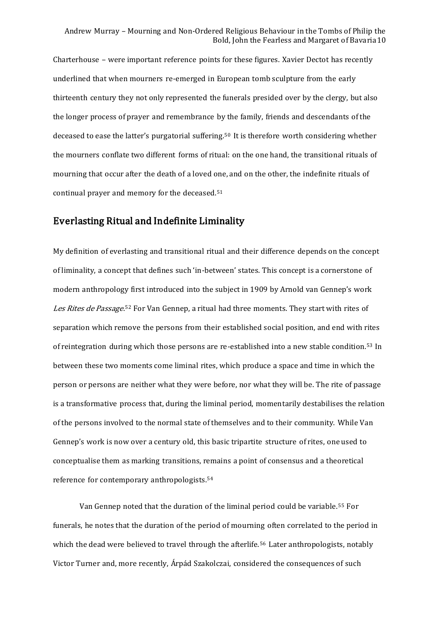Charterhouse – were important reference points for these figures. Xavier Dectot has recently underlined that when mourners re-emerged in European tomb sculpture from the early thirteenth century they not only represented the funerals presided over by the clergy, but also the longer process of prayer and remembrance by the family, friends and descendants of the deceased to ease the latter's purgatorial suffering.<sup>50</sup> It is therefore worth considering whether the mourners conflate two different forms of ritual: on the one hand, the transitional rituals of mourning that occur after the death of a loved one, and on the other, the indefinite rituals of continual prayer and memory for the deceased.<sup>51</sup>

#### Everlasting Ritual and Indefinite Liminality

My definition of everlasting and transitional ritual and their difference depends on the concept of liminality, a concept that defines such 'in-between' states. This concept is a cornerstone of modern anthropology first introduced into the subject in 1909 by Arnold van Gennep's work Les Rites de Passage.<sup>52</sup> For Van Gennep, a ritual had three moments. They start with rites of separation which remove the persons from their established social position, and end with rites of reintegration during which those persons are re-established into a new stable condition. <sup>53</sup> In between these two moments come liminal rites, which produce a space and time in which the person or persons are neither what they were before, nor what they will be. The rite of passage is a transformative process that, during the liminal period, momentarily destabilises the relation of the persons involved to the normal state of themselves and to their community. While Van Gennep's work is now over a century old, this basic tripartite structure of rites, one used to conceptualise them as marking transitions, remains a point of consensus and a theoretical reference for contemporary anthropologists.<sup>54</sup>

Van Gennep noted that the duration of the liminal period could be variable.<sup>55</sup> For funerals, he notes that the duration of the period of mourning often correlated to the period in which the dead were believed to travel through the afterlife.<sup>56</sup> Later anthropologists, notably Victor Turner and, more recently, Árpád Szakolczai, considered the consequences of such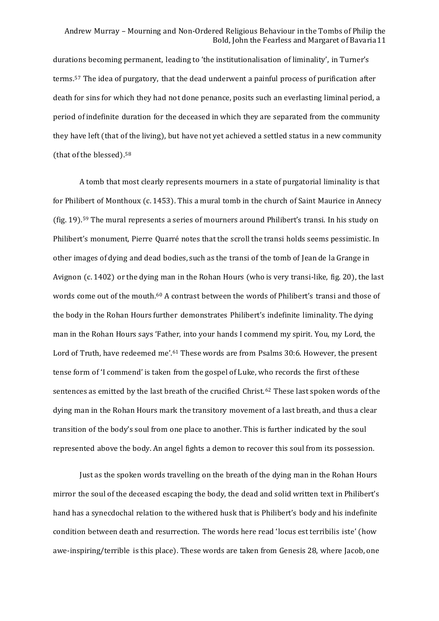durations becoming permanent, leading to 'the institutionalisation of liminality', in Turner's terms. <sup>57</sup> The idea of purgatory, that the dead underwent a painful process of purification after death for sins for which they had not done penance, posits such an everlasting liminal period, a period of indefinite duration for the deceased in which they are separated from the community they have left (that of the living), but have not yet achieved a settled status in a new community (that of the blessed).<sup>58</sup>

A tomb that most clearly represents mourners in a state of purgatorial liminality is that for Philibert of Monthoux (c. 1453). This a mural tomb in the church of Saint Maurice in Annecy (fig. 19).<sup>59</sup> The mural represents a series of mourners around Philibert's transi. In his study on Philibert's monument, Pierre Quarré notes that the scroll the transi holds seems pessimistic. In other images of dying and dead bodies, such as the transi of the tomb of Jean de la Grange in Avignon (c. 1402) or the dying man in the Rohan Hours (who is very transi-like, fig. 20), the last words come out of the mouth.<sup>60</sup> A contrast between the words of Philibert's transi and those of the body in the Rohan Hours further demonstrates Philibert's indefinite liminality. The dying man in the Rohan Hours says 'Father, into your hands I commend my spirit. You, my Lord, the Lord of Truth, have redeemed me'.<sup>61</sup> These words are from Psalms 30:6. However, the present tense form of 'I commend' is taken from the gospel of Luke, who records the first of these sentences as emitted by the last breath of the crucified Christ.<sup>62</sup> These last spoken words of the dying man in the Rohan Hours mark the transitory movement of a last breath, and thus a clear transition of the body's soul from one place to another. This is further indicated by the soul represented above the body. An angel fights a demon to recover this soul from its possession.

Just as the spoken words travelling on the breath of the dying man in the Rohan Hours mirror the soul of the deceased escaping the body, the dead and solid written text in Philibert's hand has a synecdochal relation to the withered husk that is Philibert's body and his indefinite condition between death and resurrection. The words here read 'locus est terribilis iste' (how awe-inspiring/terrible is this place). These words are taken from Genesis 28, where Jacob, one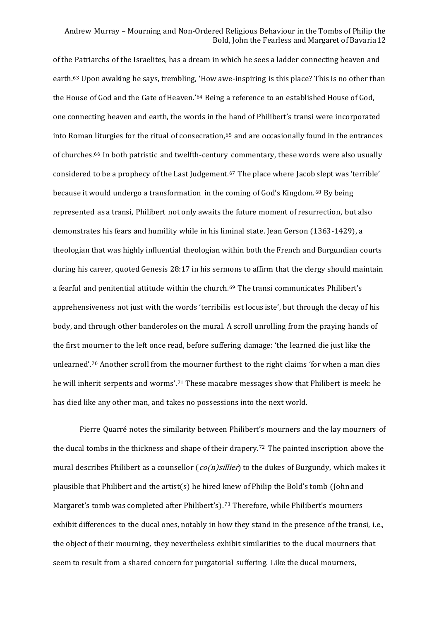of the Patriarchs of the Israelites, has a dream in which he sees a ladder connecting heaven and earth.<sup>63</sup> Upon awaking he says, trembling, 'How awe-inspiring is this place? This is no other than the House of God and the Gate of Heaven.'<sup>64</sup> Being a reference to an established House of God, one connecting heaven and earth, the words in the hand of Philibert's transi were incorporated into Roman liturgies for the ritual of consecration, $65$  and are occasionally found in the entrances of churches.<sup>66</sup> In both patristic and twelfth-century commentary, these words were also usually considered to be a prophecy of the Last Judgement.<sup>67</sup> The place where Jacob slept was 'terrible' because it would undergo a transformation in the coming of God's Kingdom.<sup>68</sup> By being represented as a transi, Philibert not only awaits the future moment of resurrection, but also demonstrates his fears and humility while in his liminal state. Jean Gerson (1363-1429), a theologian that was highly influential theologian within both the French and Burgundian courts during his career, quoted Genesis 28:17 in his sermons to affirm that the clergy should maintain a fearful and penitential attitude within the church.<sup>69</sup> The transi communicates Philibert's apprehensiveness not just with the words 'terribilis est locus iste', but through the decay of his body, and through other banderoles on the mural. A scroll unrolling from the praying hands of the first mourner to the left once read, before suffering damage: 'the learned die just like the unlearned'.<sup>70</sup> Another scroll from the mourner furthest to the right claims 'for when a man dies he will inherit serpents and worms'.<sup>71</sup> These macabre messages show that Philibert is meek: he has died like any other man, and takes no possessions into the next world.

Pierre Quarré notes the similarity between Philibert's mourners and the lay mourners of the ducal tombs in the thickness and shape of their drapery.<sup>72</sup> The painted inscription above the mural describes Philibert as a counsellor ( $co(n)$ sillier) to the dukes of Burgundy, which makes it plausible that Philibert and the artist(s) he hired knew of Philip the Bold's tomb (John and Margaret's tomb was completed after Philibert's).<sup>73</sup> Therefore, while Philibert's mourners exhibit differences to the ducal ones, notably in how they stand in the presence of the transi, i.e., the object of their mourning, they nevertheless exhibit similarities to the ducal mourners that seem to result from a shared concern for purgatorial suffering. Like the ducal mourners,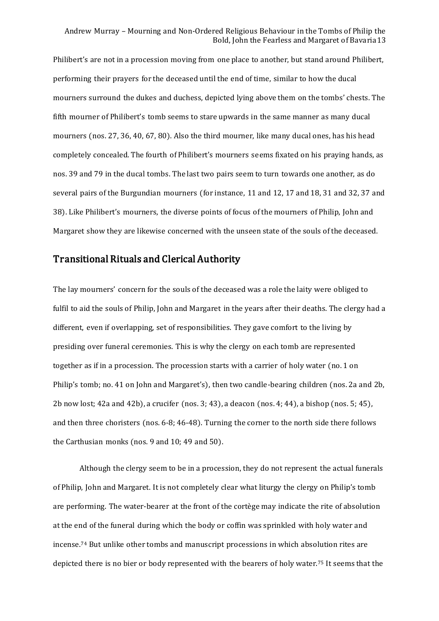Philibert's are not in a procession moving from one place to another, but stand around Philibert, performing their prayers for the deceased until the end of time, similar to how the ducal mourners surround the dukes and duchess, depicted lying above them on the tombs' chests. The fifth mourner of Philibert's tomb seems to stare upwards in the same manner as many ducal mourners (nos. 27, 36, 40, 67, 80). Also the third mourner, like many ducal ones, has his head completely concealed. The fourth of Philibert's mourners seems fixated on his praying hands, as nos. 39 and 79 in the ducal tombs. The last two pairs seem to turn towards one another, as do several pairs of the Burgundian mourners (for instance, 11 and 12, 17 and 18, 31 and 32, 37 and 38). Like Philibert's mourners, the diverse points of focus of the mourners of Philip, John and Margaret show they are likewise concerned with the unseen state of the souls of the deceased.

#### Transitional Rituals and Clerical Authority

The lay mourners' concern for the souls of the deceased was a role the laity were obliged to fulfil to aid the souls of Philip, John and Margaret in the years after their deaths. The clergy had a different, even if overlapping, set of responsibilities. They gave comfort to the living by presiding over funeral ceremonies. This is why the clergy on each tomb are represented together as if in a procession. The procession starts with a carrier of holy water (no. 1 on Philip's tomb; no. 41 on John and Margaret's), then two candle-bearing children (nos. 2a and 2b, 2b now lost; 42a and 42b), a crucifer (nos. 3; 43), a deacon (nos. 4; 44), a bishop (nos. 5; 45), and then three choristers (nos. 6-8; 46-48). Turning the corner to the north side there follows the Carthusian monks (nos. 9 and 10; 49 and 50).

Although the clergy seem to be in a procession, they do not represent the actual funerals of Philip, John and Margaret. It is not completely clear what liturgy the clergy on Philip's tomb are performing. The water-bearer at the front of the cortège may indicate the rite of absolution at the end of the funeral during which the body or coffin was sprinkled with holy water and incense.<sup>74</sup> But unlike other tombs and manuscript processions in which absolution rites are depicted there is no bier or body represented with the bearers of holy water.<sup>75</sup> It seems that the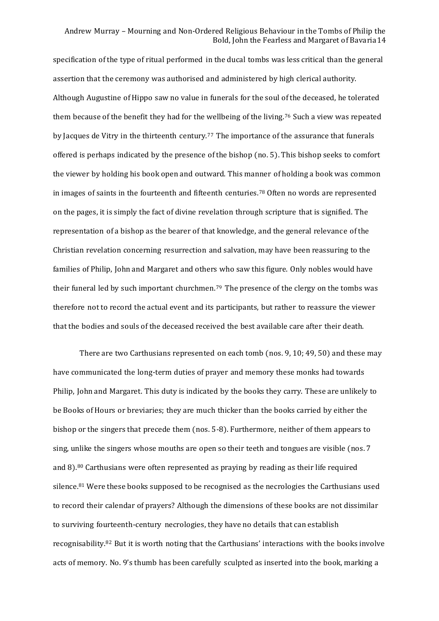specification of the type of ritual performed in the ducal tombs was less critical than the general assertion that the ceremony was authorised and administered by high clerical authority. Although Augustine of Hippo saw no value in funerals for the soul of the deceased, he tolerated them because of the benefit they had for the wellbeing of the living.<sup>76</sup> Such a view was repeated by Jacques de Vitry in the thirteenth century.<sup>77</sup> The importance of the assurance that funerals offered is perhaps indicated by the presence of the bishop (no. 5). This bishop seeks to comfort the viewer by holding his book open and outward. This manner of holding a book was common in images of saints in the fourteenth and fifteenth centuries.<sup>78</sup> Often no words are represented on the pages, it is simply the fact of divine revelation through scripture that is signified. The representation of a bishop as the bearer of that knowledge, and the general relevance of the Christian revelation concerning resurrection and salvation, may have been reassuring to the families of Philip, John and Margaret and others who saw this figure. Only nobles would have their funeral led by such important churchmen.<sup>79</sup> The presence of the clergy on the tombs was therefore not to record the actual event and its participants, but rather to reassure the viewer that the bodies and souls of the deceased received the best available care after their death.

There are two Carthusians represented on each tomb (nos. 9, 10; 49, 50) and these may have communicated the long-term duties of prayer and memory these monks had towards Philip, John and Margaret. This duty is indicated by the books they carry. These are unlikely to be Books of Hours or breviaries; they are much thicker than the books carried by either the bishop or the singers that precede them (nos. 5-8). Furthermore, neither of them appears to sing, unlike the singers whose mouths are open so their teeth and tongues are visible (nos. 7 and 8).<sup>80</sup> Carthusians were often represented as praying by reading as their life required silence.<sup>81</sup> Were these books supposed to be recognised as the necrologies the Carthusians used to record their calendar of prayers? Although the dimensions of these books are not dissimilar to surviving fourteenth-century necrologies, they have no details that can establish recognisability.<sup>82</sup> But it is worth noting that the Carthusians' interactions with the books involve acts of memory. No. 9's thumb has been carefully sculpted as inserted into the book, marking a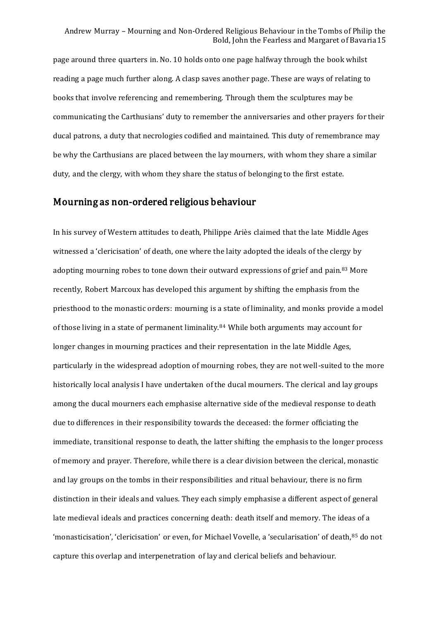page around three quarters in. No. 10 holds onto one page halfway through the book whilst reading a page much further along. A clasp saves another page. These are ways of relating to books that involve referencing and remembering. Through them the sculptures may be communicating the Carthusians' duty to remember the anniversaries and other prayers for their ducal patrons, a duty that necrologies codified and maintained. This duty of remembrance may be why the Carthusians are placed between the lay mourners, with whom they share a similar duty, and the clergy, with whom they share the status of belonging to the first estate.

#### Mourning as non-ordered religious behaviour

In his survey of Western attitudes to death, Philippe Ariès claimed that the late Middle Ages witnessed a 'clericisation' of death, one where the laity adopted the ideals of the clergy by adopting mourning robes to tone down their outward expressions of grief and pain.<sup>83</sup> More recently, Robert Marcoux has developed this argument by shifting the emphasis from the priesthood to the monastic orders: mourning is a state of liminality, and monks provide a model of those living in a state of permanent liminality.<sup>84</sup> While both arguments may account for longer changes in mourning practices and their representation in the late Middle Ages, particularly in the widespread adoption of mourning robes, they are not well-suited to the more historically local analysis I have undertaken of the ducal mourners. The clerical and lay groups among the ducal mourners each emphasise alternative side of the medieval response to death due to differences in their responsibility towards the deceased: the former officiating the immediate, transitional response to death, the latter shifting the emphasis to the longer process of memory and prayer. Therefore, while there is a clear division between the clerical, monastic and lay groups on the tombs in their responsibilities and ritual behaviour, there is no firm distinction in their ideals and values. They each simply emphasise a different aspect of general late medieval ideals and practices concerning death: death itself and memory. The ideas of a 'monasticisation', 'clericisation' or even, for Michael Vovelle, a 'secularisation' of death, 85 do not capture this overlap and interpenetration of lay and clerical beliefs and behaviour.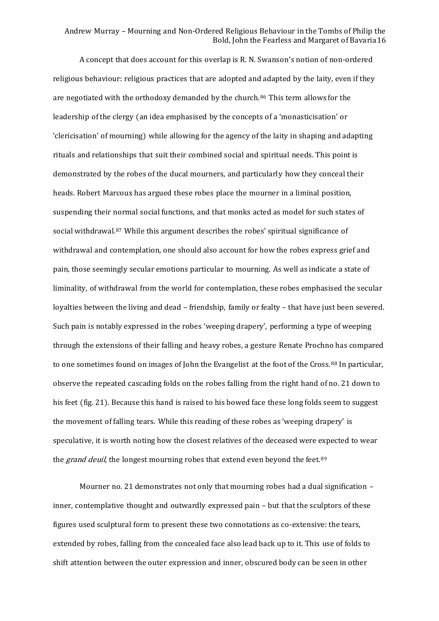A concept that does account for this overlap is R. N. Swanson's notion of non-ordered religious behaviour: religious practices that are adopted and adapted by the laity, even if they are negotiated with the orthodoxy demanded by the church.<sup>86</sup> This term allows for the leadership of the clergy (an idea emphasised by the concepts of a 'monasticisation' or 'clericisation' of mourning) while allowing for the agency of the laity in shaping and adapting rituals and relationships that suit their combined social and spiritual needs. This point is demonstrated by the robes of the ducal mourners, and particularly how they conceal their heads. Robert Marcoux has argued these robes place the mourner in a liminal position, suspending their normal social functions, and that monks acted as model for such states of social withdrawal.<sup>87</sup> While this argument describes the robes' spiritual significance of withdrawal and contemplation, one should also account for how the robes express grief and pain, those seemingly secular emotions particular to mourning. As well as indicate a state of liminality, of withdrawal from the world for contemplation, these robes emphasised the secular loyalties between the living and dead – friendship, family or fealty – that have just been severed. Such pain is notably expressed in the robes 'weeping drapery', performing a type of weeping through the extensions of their falling and heavy robes, a gesture Renate Prochno has compared to one sometimes found on images of John the Evangelist at the foot of the Cross.<sup>88</sup> In particular, observe the repeated cascading folds on the robes falling from the right hand of no. 21 down to his feet (fig. 21). Because this hand is raised to his bowed face these long folds seem to suggest the movement of falling tears. While this reading of these robes as 'weeping drapery' is speculative, it is worth noting how the closest relatives of the deceased were expected to wear the *grand deuil*, the longest mourning robes that extend even beyond the feet.<sup>89</sup>

Mourner no. 21 demonstrates not only that mourning robes had a dual signification – inner, contemplative thought and outwardly expressed pain – but that the sculptors of these figures used sculptural form to present these two connotations as co-extensive: the tears, extended by robes, falling from the concealed face also lead back up to it. This use of folds to shift attention between the outer expression and inner, obscured body can be seen in other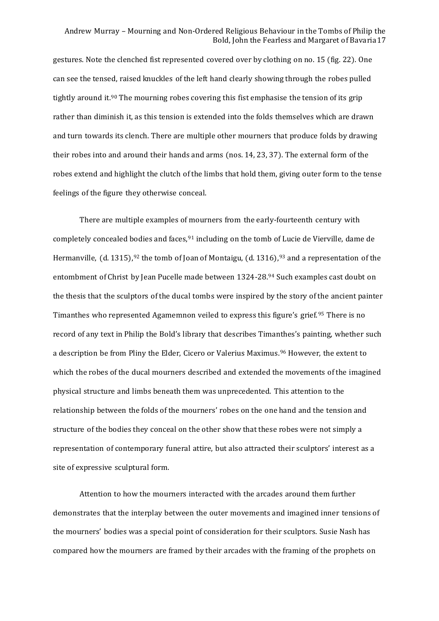gestures. Note the clenched fist represented covered over by clothing on no. 15 (fig. 22). One can see the tensed, raised knuckles of the left hand clearly showing through the robes pulled tightly around it.<sup>90</sup> The mourning robes covering this fist emphasise the tension of its grip rather than diminish it, as this tension is extended into the folds themselves which are drawn and turn towards its clench. There are multiple other mourners that produce folds by drawing their robes into and around their hands and arms (nos. 14, 23, 37). The external form of the robes extend and highlight the clutch of the limbs that hold them, giving outer form to the tense feelings of the figure they otherwise conceal.

There are multiple examples of mourners from the early-fourteenth century with completely concealed bodies and faces, <sup>91</sup> including on the tomb of Lucie de Vierville, dame de Hermanville, (d. 1315), 92 the tomb of Joan of Montaigu, (d. 1316), 93 and a representation of the entombment of Christ by Jean Pucelle made between 1324-28.<sup>94</sup> Such examples cast doubt on the thesis that the sculptors of the ducal tombs were inspired by the story of the ancient painter Timanthes who represented Agamemnon veiled to express this figure's grief.<sup>95</sup> There is no record of any text in Philip the Bold's library that describes Timanthes's painting, whether such a description be from Pliny the Elder, Cicero or Valerius Maximus.<sup>96</sup> However, the extent to which the robes of the ducal mourners described and extended the movements of the imagined physical structure and limbs beneath them was unprecedented. This attention to the relationship between the folds of the mourners' robes on the one hand and the tension and structure of the bodies they conceal on the other show that these robes were not simply a representation of contemporary funeral attire, but also attracted their sculptors' interest as a site of expressive sculptural form.

Attention to how the mourners interacted with the arcades around them further demonstrates that the interplay between the outer movements and imagined inner tensions of the mourners' bodies was a special point of consideration for their sculptors. Susie Nash has compared how the mourners are framed by their arcades with the framing of the prophets on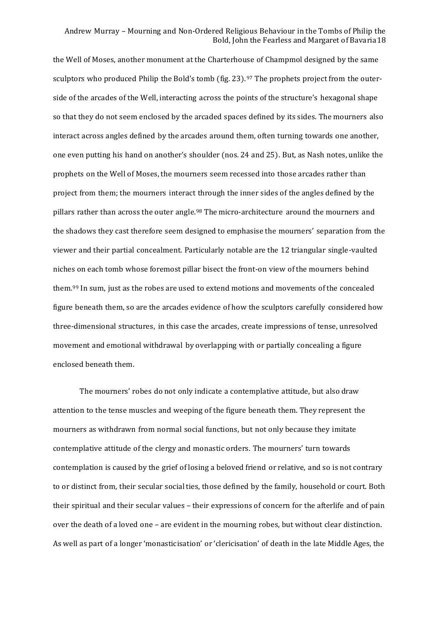the Well of Moses, another monument at the Charterhouse of Champmol designed by the same sculptors who produced Philip the Bold's tomb (fig. 23).<sup>97</sup> The prophets project from the outerside of the arcades of the Well, interacting across the points of the structure's hexagonal shape so that they do not seem enclosed by the arcaded spaces defined by its sides. The mourners also interact across angles defined by the arcades around them, often turning towards one another, one even putting his hand on another's shoulder (nos. 24 and 25). But, as Nash notes, unlike the prophets on the Well of Moses, the mourners seem recessed into those arcades rather than project from them; the mourners interact through the inner sides of the angles defined by the pillars rather than across the outer angle.<sup>98</sup> The micro-architecture around the mourners and the shadows they cast therefore seem designed to emphasise the mourners' separation from the viewer and their partial concealment. Particularly notable are the 12 triangular single-vaulted niches on each tomb whose foremost pillar bisect the front-on view of the mourners behind them.<sup>99</sup> In sum, just as the robes are used to extend motions and movements of the concealed figure beneath them, so are the arcades evidence of how the sculptors carefully considered how three-dimensional structures, in this case the arcades, create impressions of tense, unresolved movement and emotional withdrawal by overlapping with or partially concealing a figure enclosed beneath them.

The mourners' robes do not only indicate a contemplative attitude, but also draw attention to the tense muscles and weeping of the figure beneath them. They represent the mourners as withdrawn from normal social functions, but not only because they imitate contemplative attitude of the clergy and monastic orders. The mourners' turn towards contemplation is caused by the grief of losing a beloved friend or relative, and so is not contrary to or distinct from, their secular social ties, those defined by the family, household or court. Both their spiritual and their secular values – their expressions of concern for the afterlife and of pain over the death of a loved one – are evident in the mourning robes, but without clear distinction. As well as part of a longer 'monasticisation' or 'clericisation' of death in the late Middle Ages, the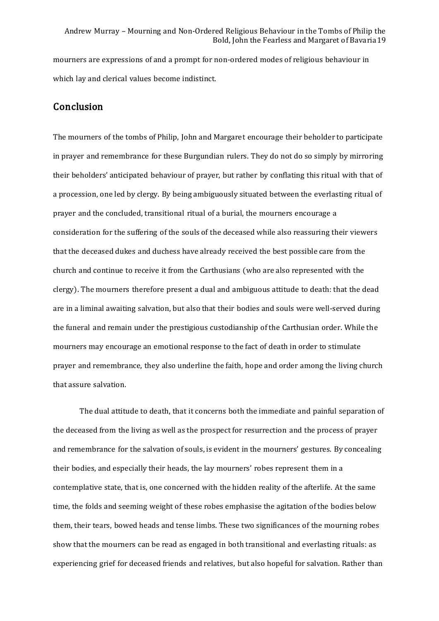mourners are expressions of and a prompt for non-ordered modes of religious behaviour in which lay and clerical values become indistinct.

#### Conclusion

The mourners of the tombs of Philip, John and Margaret encourage their beholder to participate in prayer and remembrance for these Burgundian rulers. They do not do so simply by mirroring their beholders' anticipated behaviour of prayer, but rather by conflating this ritual with that of a procession, one led by clergy. By being ambiguously situated between the everlasting ritual of prayer and the concluded, transitional ritual of a burial, the mourners encourage a consideration for the suffering of the souls of the deceased while also reassuring their viewers that the deceased dukes and duchess have already received the best possible care from the church and continue to receive it from the Carthusians (who are also represented with the clergy). The mourners therefore present a dual and ambiguous attitude to death: that the dead are in a liminal awaiting salvation, but also that their bodies and souls were well-served during the funeral and remain under the prestigious custodianship of the Carthusian order. While the mourners may encourage an emotional response to the fact of death in order to stimulate prayer and remembrance, they also underline the faith, hope and order among the living church that assure salvation.

The dual attitude to death, that it concerns both the immediate and painful separation of the deceased from the living as well as the prospect for resurrection and the process of prayer and remembrance for the salvation of souls, is evident in the mourners' gestures. By concealing their bodies, and especially their heads, the lay mourners' robes represent them in a contemplative state, that is, one concerned with the hidden reality of the afterlife. At the same time, the folds and seeming weight of these robes emphasise the agitation of the bodies below them, their tears, bowed heads and tense limbs. These two significances of the mourning robes show that the mourners can be read as engaged in both transitional and everlasting rituals: as experiencing grief for deceased friends and relatives, but also hopeful for salvation. Rather than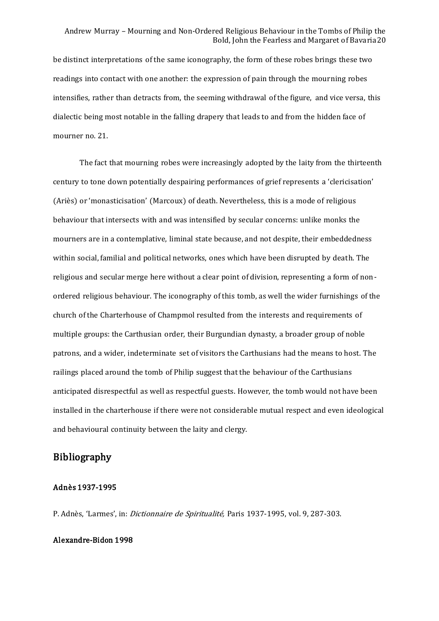be distinct interpretations of the same iconography, the form of these robes brings these two readings into contact with one another: the expression of pain through the mourning robes intensifies, rather than detracts from, the seeming withdrawal of the figure, and vice versa, this dialectic being most notable in the falling drapery that leads to and from the hidden face of mourner no. 21.

The fact that mourning robes were increasingly adopted by the laity from the thirteenth century to tone down potentially despairing performances of grief represents a 'clericisation' (Ariès) or 'monasticisation' (Marcoux) of death. Nevertheless, this is a mode of religious behaviour that intersects with and was intensified by secular concerns: unlike monks the mourners are in a contemplative, liminal state because, and not despite, their embeddedness within social, familial and political networks, ones which have been disrupted by death. The religious and secular merge here without a clear point of division, representing a form of nonordered religious behaviour. The iconography of this tomb, as well the wider furnishings of the church of the Charterhouse of Champmol resulted from the interests and requirements of multiple groups: the Carthusian order, their Burgundian dynasty, a broader group of noble patrons, and a wider, indeterminate set of visitors the Carthusians had the means to host. The railings placed around the tomb of Philip suggest that the behaviour of the Carthusians anticipated disrespectful as well as respectful guests. However, the tomb would not have been installed in the charterhouse if there were not considerable mutual respect and even ideological and behavioural continuity between the laity and clergy.

#### Bibliography

#### Adnès 1937-1995

P. Adnès, 'Larmes', in: Dictionnaire de Spiritualité, Paris 1937-1995, vol. 9, 287-303.

#### Alexandre-Bidon 1998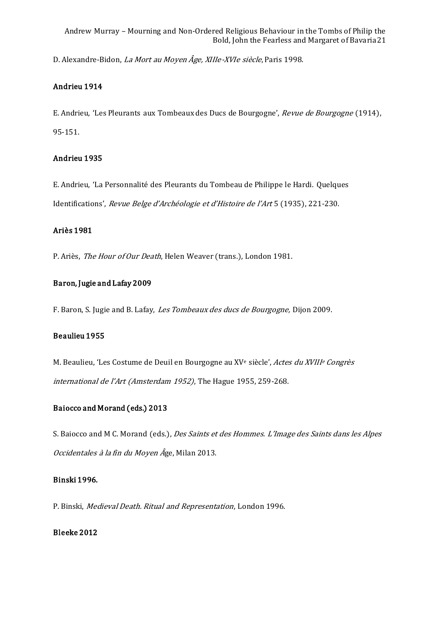D. Alexandre-Bidon, La Mort au Moyen Âge, XIIIe-XVIe siècle, Paris 1998.

#### Andrieu 1914

E. Andrieu, 'Les Pleurants aux Tombeaux des Ducs de Bourgogne', Revue de Bourgogne (1914), 95-151.

#### Andrieu 1935

E. Andrieu, 'La Personnalité des Pleurants du Tombeau de Philippe le Hardi. Quelques Identifications', Revue Belge d'Archéologie et d'Histoire de l'Art 5 (1935), 221-230.

#### Ariès 1981

P. Ariès, The Hour of Our Death, Helen Weaver (trans.), London 1981.

#### Baron, Jugie and Lafay 2009

F. Baron, S. Jugie and B. Lafay, Les Tombeaux des ducs de Bourgogne, Dijon 2009.

#### Beaulieu 1955

M. Beaulieu, 'Les Costume de Deuil en Bourgogne au XV<sup>e</sup> siècle', *Actes du XVIII<sup>e</sup> Congrès* international de l'Art (Amsterdam 1952), The Hague 1955, 259-268.

#### Baiocco and Morand (eds.) 2013

S. Baiocco and M C. Morand (eds.), Des Saints et des Hommes. L'Image des Saints dans les Alpes Occidentales à la fin du Moyen Âge, Milan 2013.

#### Binski 1996.

P. Binski, Medieval Death. Ritual and Representation, London 1996.

#### Bleeke 2012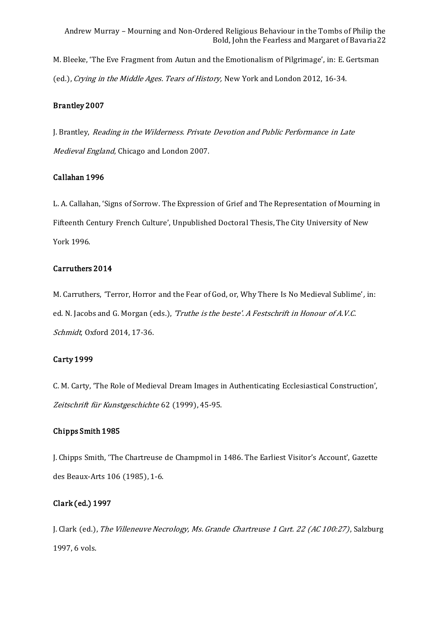M. Bleeke, 'The Eve Fragment from Autun and the Emotionalism of Pilgrimage', in: E. Gertsman (ed.), Crying in the Middle Ages. Tears of History, New York and London 2012, 16-34.

#### Brantley 2007

J. Brantley, Reading in the Wilderness. Private Devotion and Public Performance in Late Medieval England, Chicago and London 2007.

#### Callahan 1996

L. A. Callahan, 'Signs of Sorrow. The Expression of Grief and The Representation of Mourning in Fifteenth Century French Culture', Unpublished Doctoral Thesis, The City University of New York 1996.

#### Carruthers 2014

M. Carruthers, 'Terror, Horror and the Fear of God, or, Why There Is No Medieval Sublime', in: ed. N. Jacobs and G. Morgan (eds.), 'Truthe is the beste'. A Festschrift in Honour of A.V.C. Schmidt, Oxford 2014, 17-36.

#### Carty 1999

C. M. Carty, 'The Role of Medieval Dream Images in Authenticating Ecclesiastical Construction', Zeitschrift für Kunstgeschichte 62 (1999), 45-95.

#### Chipps Smith 1985

J. Chipps Smith, 'The Chartreuse de Champmol in 1486. The Earliest Visitor's Account', Gazette des Beaux-Arts 106 (1985), 1-6.

#### Clark (ed.) 1997

J. Clark (ed.), The Villeneuve Necrology, Ms. Grande Chartreuse 1 Cart. 22 (AC 100:27), Salzburg 1997, 6 vols.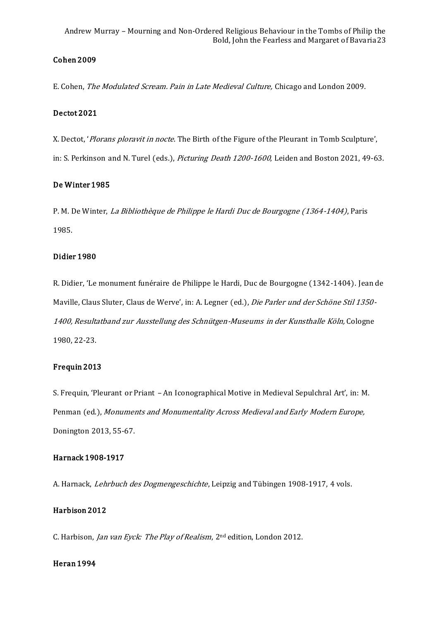#### Cohen 2009

E. Cohen, The Modulated Scream. Pain in Late Medieval Culture, Chicago and London 2009.

#### Dectot 2021

X. Dectot, 'Plorans ploravit in nocte. The Birth of the Figure of the Pleurant in Tomb Sculpture',

in: S. Perkinson and N. Turel (eds.), Picturing Death 1200-1600, Leiden and Boston 2021, 49-63.

#### De Winter 1985

P. M. De Winter, La Bibliothèque de Philippe le Hardi Duc de Bourgogne (1364-1404), Paris 1985.

#### Didier 1980

R. Didier, 'Le monument funéraire de Philippe le Hardi, Duc de Bourgogne (1342-1404). Jean de Maville, Claus Sluter, Claus de Werve', in: A. Legner (ed.), Die Parler und der Schöne Stil 1350- 1400, Resultatband zur Ausstellung des Schnütgen-Museums in der Kunsthalle Köln, Cologne 1980, 22-23.

#### Frequin 2013

S. Frequin, 'Pleurant or Priant – An Iconographical Motive in Medieval Sepulchral Art', in: M. Penman (ed.), Monuments and Monumentality Across Medieval and Early Modern Europe, Donington 2013, 55-67.

#### Harnack 1908-1917

A. Harnack, Lehrbuch des Dogmengeschichte, Leipzig and Tübingen 1908-1917, 4 vols.

#### Harbison 2012

C. Harbison, Jan van Eyck: The Play of Realism, 2nd edition, London 2012.

#### Heran 1994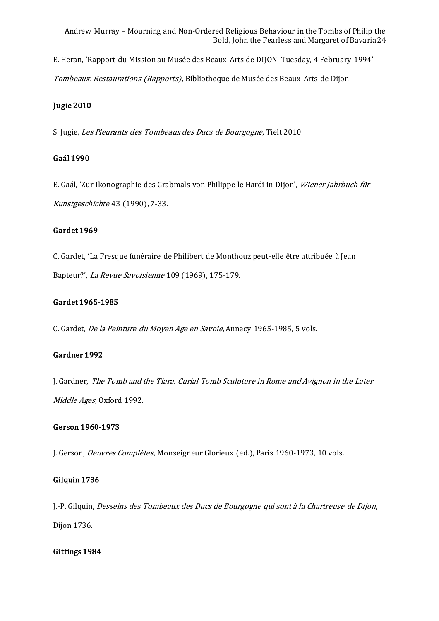E. Heran, 'Rapport du Mission au Musée des Beaux-Arts de DIJON. Tuesday, 4 February 1994',

Tombeaux. Restaurations (Rapports), Bibliotheque de Musée des Beaux-Arts de Dijon.

#### Jugie 2010

S. Jugie, Les Pleurants des Tombeaux des Ducs de Bourgogne, Tielt 2010.

#### Gaál 1990

E. Gaál, 'Zur Ikonographie des Grabmals von Philippe le Hardi in Dijon', Wiener Jahrbuch für Kunstgeschichte 43 (1990), 7-33.

#### Gardet 1969

C. Gardet, 'La Fresque funéraire de Philibert de Monthouz peut-elle être attribuée à Jean Bapteur?', La Revue Savoisienne 109 (1969), 175-179.

#### Gardet 1965-1985

C. Gardet, De la Peinture du Moyen Age en Savoie, Annecy 1965-1985, 5 vols.

#### Gardner 1992

J. Gardner, The Tomb and the Tiara. Curial Tomb Sculpture in Rome and Avignon in the Later Middle Ages, Oxford 1992.

#### Gerson 1960-1973

J. Gerson, Oeuvres Complètes, Monseigneur Glorieux (ed.), Paris 1960-1973, 10 vols.

#### Gilquin 1736

J.-P. Gilquin, Desseins des Tombeaux des Ducs de Bourgogne qui sont à la Chartreuse de Dijon, Dijon 1736.

#### Gittings 1984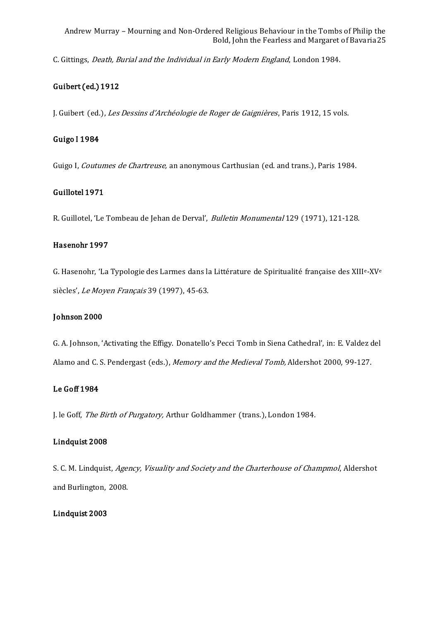C. Gittings, Death, Burial and the Individual in Early Modern England, London 1984.

#### Guibert (ed.) 1912

J. Guibert (ed.), Les Dessins d'Archéologie de Roger de Gaignières, Paris 1912, 15 vols.

#### Guigo I 1984

Guigo I, Coutumes de Chartreuse, an anonymous Carthusian (ed. and trans.), Paris 1984.

#### Guillotel 1971

R. Guillotel, 'Le Tombeau de Jehan de Derval', Bulletin Monumental 129 (1971), 121-128.

#### Hasenohr 1997

G. Hasenohr, 'La Typologie des Larmes dans la Littérature de Spiritualité française des XIIIe-XV<sup>e</sup> siècles', Le Moyen Français 39 (1997), 45-63.

#### Johnson 2000

G. A. Johnson, 'Activating the Effigy. Donatello's Pecci Tomb in Siena Cathedral', in: E. Valdez del Alamo and C. S. Pendergast (eds.), Memory and the Medieval Tomb, Aldershot 2000, 99-127.

#### Le Goff 1984

J. le Goff, The Birth of Purgatory, Arthur Goldhammer (trans.), London 1984.

#### Lindquist 2008

S. C. M. Lindquist, Agency, Visuality and Society and the Charterhouse of Champmol, Aldershot and Burlington, 2008.

#### Lindquist 2003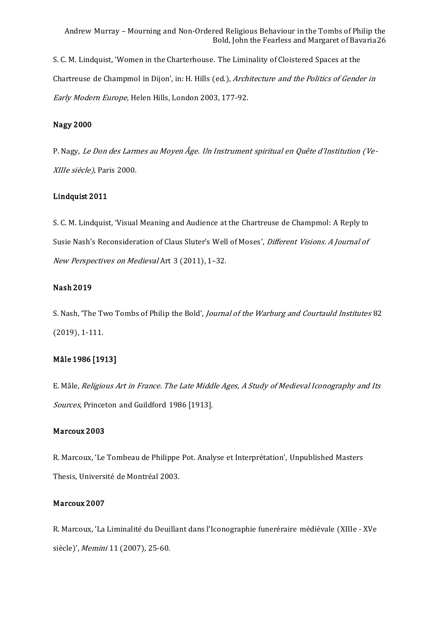S. C. M. Lindquist, 'Women in the Charterhouse. The Liminality of Cloistered Spaces at the Chartreuse de Champmol in Dijon', in: H. Hills (ed.), Architecture and the Politics of Gender in Early Modern Europe, Helen Hills, London 2003, 177-92.

#### Nagy 2000

P. Nagy, Le Don des Larmes au Moyen Âge. Un Instrument spiritual en Quête d'Institution (Ve-XIIIe siècle), Paris 2000.

#### Lindquist 2011

S. C. M. Lindquist, 'Visual Meaning and Audience at the Chartreuse de Champmol: A Reply to Susie Nash's Reconsideration of Claus Sluter's Well of Moses', Different Visions. A Journal of New Perspectives on Medieval Art 3 (2011), 1–32.

#### Nash 2019

S. Nash, 'The Two Tombs of Philip the Bold', Journal of the Warburg and Courtauld Institutes 82 (2019), 1-111.

#### Mâle 1986 [1913]

E. Mâle, Religious Art in France. The Late Middle Ages, A Study of Medieval Iconography and Its Sources, Princeton and Guildford 1986 [1913].

#### Marcoux 2003

R. Marcoux, 'Le Tombeau de Philippe Pot. Analyse et Interprétation', Unpublished Masters Thesis, Université de Montréal 2003.

#### Marcoux 2007

R. Marcoux, 'La Liminalité du Deuillant dans l'Iconographie funeréraire médiévale (XIIIe - XVe siècle)', Memini 11 (2007), 25-60.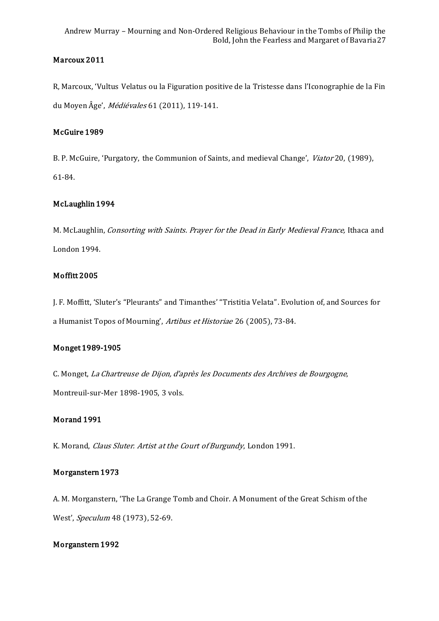#### Marcoux 2011

R, Marcoux, 'Vultus Velatus ou la Figuration positive de la Tristesse dans l'Iconographie de la Fin du Moyen Âge', Médiévales 61 (2011), 119-141.

#### McGuire 1989

B. P. McGuire, 'Purgatory, the Communion of Saints, and medieval Change', Viator 20, (1989), 61-84.

#### McLaughlin 1994

M. McLaughlin, Consorting with Saints. Prayer for the Dead in Early Medieval France, Ithaca and London 1994.

#### Moffitt 2005

J. F. Moffitt, 'Sluter's "Pleurants" and Timanthes' "Tristitia Velata". Evolution of, and Sources for a Humanist Topos of Mourning', Artibus et Historiae 26 (2005), 73-84.

#### Monget 1989-1905

C. Monget, La Chartreuse de Dijon, d'après les Documents des Archives de Bourgogne, Montreuil-sur-Mer 1898-1905, 3 vols.

#### Morand 1991

K. Morand, Claus Sluter. Artist at the Court of Burgundy, London 1991.

#### Morganstern 1973

A. M. Morganstern, 'The La Grange Tomb and Choir. A Monument of the Great Schism of the West', Speculum 48 (1973), 52-69.

#### Morganstern 1992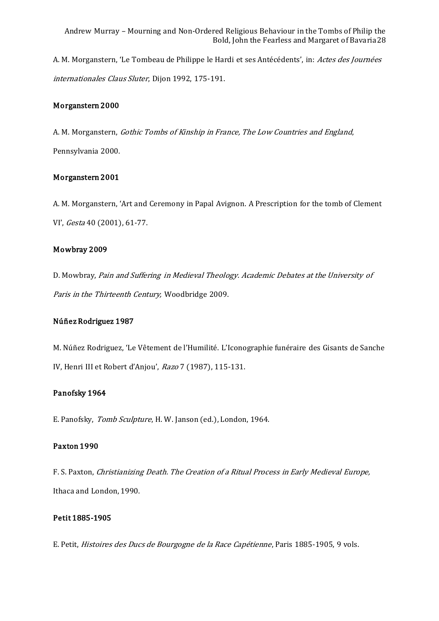A. M. Morganstern, 'Le Tombeau de Philippe le Hardi et ses Antécédents', in: Actes des Journées internationales Claus Sluter, Dijon 1992, 175-191.

#### Morganstern 2000

A. M. Morganstern, Gothic Tombs of Kinship in France, The Low Countries and England, Pennsylvania 2000.

#### Morganstern 2001

A. M. Morganstern, 'Art and Ceremony in Papal Avignon. A Prescription for the tomb of Clement VI', Gesta 40 (2001), 61-77.

#### Mowbray 2009

D. Mowbray, Pain and Suffering in Medieval Theology. Academic Debates at the University of Paris in the Thirteenth Century, Woodbridge 2009.

#### Núñez Rodriguez 1987

M. Núñez Rodriguez, 'Le Vêtement de l'Humilité. L'Iconographie funéraire des Gisants de Sanche IV, Henri III et Robert d'Anjou', Razo 7 (1987), 115-131.

#### Panofsky 1964

E. Panofsky, Tomb Sculpture, H. W. Janson (ed.), London, 1964.

#### Paxton 1990

F. S. Paxton, Christianizing Death. The Creation of a Ritual Process in Early Medieval Europe, Ithaca and London, 1990.

#### Petit 1885-1905

E. Petit, Histoires des Ducs de Bourgogne de la Race Capétienne, Paris 1885-1905, 9 vols.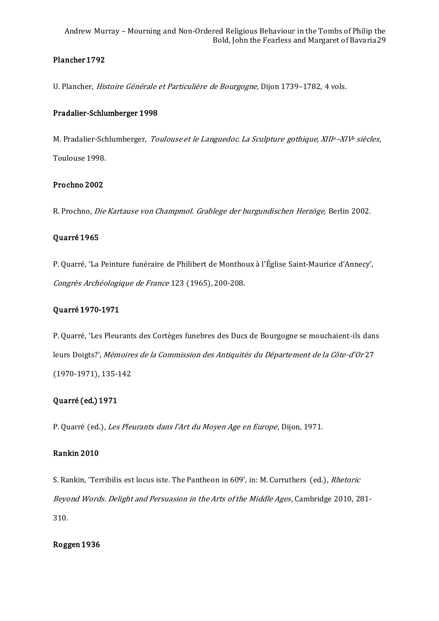#### Plancher 1792

U. Plancher, Histoire Générale et Particulière de Bourgogne, Dijon 1739–1782, 4 vols.

#### Pradalier-Schlumberger 1998

M. Pradalier-Schlumberger, *Toulouse et le Languedoc. La Sculpture gothique, XIII<sup>e</sup>-XIV<sup>e</sup> siècles,* Toulouse 1998.

#### Prochno 2002

R. Prochno, Die Kartause von Champmol. Grablege der burgundischen Herzöge, Berlin 2002.

#### Quarré 1965

P. Quarré, 'La Peinture funéraire de Philibert de Monthoux à l'Église Saint-Maurice d'Annecy', Congrès Archéologique de France 123 (1965), 200-208.

#### Quarré 1970-1971

P. Quarré, 'Les Pleurants des Cortèges funebres des Ducs de Bourgogne se mouchaient-ils dans leurs Doigts?', Mémoires de la Commission des Antiquités du Département de la Côte-d'Or 27 (1970-1971), 135-142

#### Quarré (ed.) 1971

P. Quarré (ed.), Les Pleurants dans l'Art du Moyen Age en Europe, Dijon, 1971.

#### Rankin 2010

S. Rankin, 'Terribilis est locus iste. The Pantheon in 609', in: M. Curruthers (ed.), Rhetoric Beyond Words. Delight and Persuasion in the Arts of the Middle Ages, Cambridge 2010, 281- 310.

#### Roggen 1936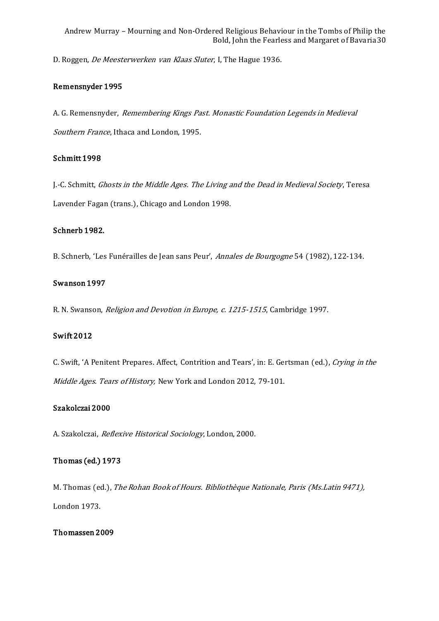D. Roggen, De Meesterwerken van Klaas Sluter, I, The Hague 1936.

#### Remensnyder 1995

A. G. Remensnyder, Remembering Kings Past. Monastic Foundation Legends in Medieval Southern France, Ithaca and London, 1995.

#### Schmitt 1998

J.-C. Schmitt, Ghosts in the Middle Ages. The Living and the Dead in Medieval Society, Teresa Lavender Fagan (trans.), Chicago and London 1998.

#### Schnerb 1982.

B. Schnerb, 'Les Funérailles de Jean sans Peur', Annales de Bourgogne 54 (1982), 122-134.

#### Swanson 1997

R. N. Swanson, Religion and Devotion in Europe, c. 1215-1515, Cambridge 1997.

#### Swift 2012

C. Swift, 'A Penitent Prepares. Affect, Contrition and Tears', in: E. Gertsman (ed.), Crying in the Middle Ages. Tears of History, New York and London 2012, 79-101.

#### Szakolczai 2000

A. Szakolczai, Reflexive Historical Sociology, London, 2000.

#### Thomas (ed.) 1973

M. Thomas (ed.), The Rohan Book of Hours. Bibliothèque Nationale, Paris (Ms.Latin 9471), London 1973.

#### Thomassen 2009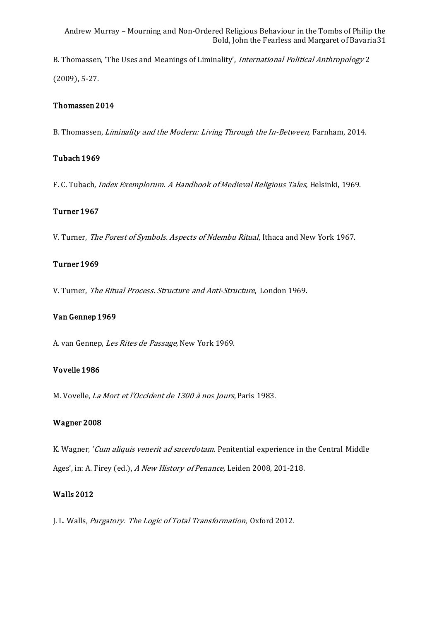B. Thomassen, 'The Uses and Meanings of Liminality', International Political Anthropology 2 (2009), 5-27.

#### Thomassen 2014

B. Thomassen, Liminality and the Modern: Living Through the In-Between, Farnham, 2014.

#### Tubach 1969

F. C. Tubach, Index Exemplorum. A Handbook of Medieval Religious Tales, Helsinki, 1969.

#### Turner 1967

V. Turner, The Forest of Symbols. Aspects of Ndembu Ritual, Ithaca and New York 1967.

#### Turner 1969

V. Turner, The Ritual Process. Structure and Anti-Structure, London 1969.

#### Van Gennep 1969

A. van Gennep, Les Rites de Passage, New York 1969.

#### Vovelle 1986

M. Vovelle, La Mort et l'Occident de 1300 à nos Jours, Paris 1983.

#### Wagner 2008

K. Wagner, 'Cum aliquis venerit ad sacerdotam. Penitential experience in the Central Middle Ages', in: A. Firey (ed.), A New History of Penance, Leiden 2008, 201-218.

#### Walls 2012

J. L. Walls, Purgatory. The Logic of Total Transformation, Oxford 2012.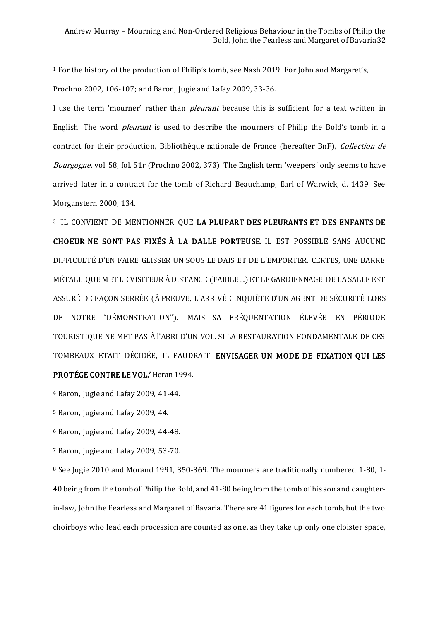<sup>1</sup> For the history of the production of Philip's tomb, see Nash 2019. For John and Margaret's,

Prochno 2002, 106-107; and Baron, Jugie and Lafay 2009, 33-36.

I use the term 'mourner' rather than *pleurant* because this is sufficient for a text written in English. The word pleurant is used to describe the mourners of Philip the Bold's tomb in a contract for their production, Bibliothèque nationale de France (hereafter BnF), Collection de Bourgogne, vol. 58, fol. 51r (Prochno 2002, 373). The English term 'weepers' only seems to have arrived later in a contract for the tomb of Richard Beauchamp, Earl of Warwick, d. 1439. See Morganstern 2000, 134.

<sup>3</sup> 'IL CONVIENT DE MENTIONNER QUE LA PLUPART DES PLEURANTS ET DES ENFANTS DE CHOEUR NE SONT PAS FIXÉS À LA DALLE PORTEUSE. IL EST POSSIBLE SANS AUCUNE DIFFICULTÉ D'EN FAIRE GLISSER UN SOUS LE DAIS ET DE L'EMPORTER. CERTES, UNE BARRE MÉTALLIQUE MET LE VISITEUR À DISTANCE (FAIBLE…) ET LE GARDIENNAGE DE LA SALLE EST ASSURÉ DE FAÇON SERRÉE (À PREUVE, L'ARRIVÉE INQUIÈTE D'UN AGENT DE SÉCURITÉ LORS DE NOTRE "DÉMONSTRATION"). MAIS SA FRÉQUENTATION ÉLEVÉE EN PÉRIODE TOURISTIQUE NE MET PAS À l'ABRI D'UN VOL. SI LA RESTAURATION FONDAMENTALE DE CES TOMBEAUX ETAIT DÉCIDÉE, IL FAUDRAIT ENVISAGER UN MODE DE FIXATION QUI LES PROTÉGE CONTRE LE VOL.' Heran 1994.

<sup>4</sup> Baron, Jugie and Lafay 2009, 41-44.

<sup>5</sup> Baron, Jugie and Lafay 2009, 44.

<sup>6</sup> Baron, Jugie and Lafay 2009, 44-48.

<sup>7</sup> Baron, Jugie and Lafay 2009, 53-70.

<sup>8</sup> See Jugie 2010 and Morand 1991, 350-369. The mourners are traditionally numbered 1-80, 1- 40 being from the tomb of Philip the Bold, and 41-80 being from the tomb of his son and daughterin-law, John the Fearless and Margaret of Bavaria. There are 41 figures for each tomb, but the two choirboys who lead each procession are counted as one, as they take up only one cloister space,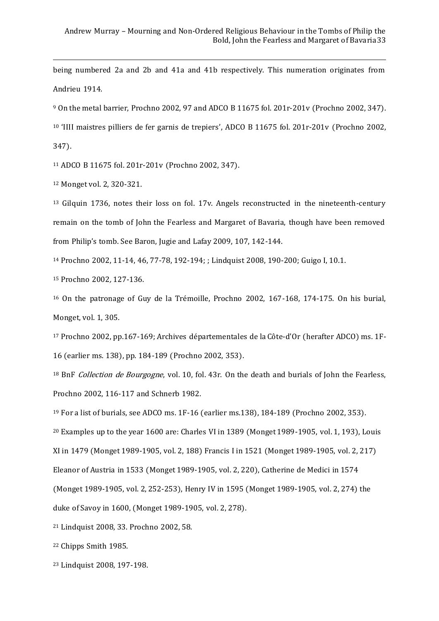being numbered 2a and 2b and 41a and 41b respectively. This numeration originates from Andrieu 1914.

<sup>9</sup> On the metal barrier, Prochno 2002, 97 and ADCO B 11675 fol. 201r-201v (Prochno 2002, 347). <sup>10</sup> 'IIII maistres pilliers de fer garnis de trepiers', ADCO B 11675 fol. 201r-201v (Prochno 2002, 347).

<sup>11</sup> ADCO B 11675 fol. 201r-201v (Prochno 2002, 347).

<sup>12</sup> Monget vol. 2, 320-321.

<sup>13</sup> Gilquin 1736, notes their loss on fol. 17v. Angels reconstructed in the nineteenth-century remain on the tomb of John the Fearless and Margaret of Bavaria, though have been removed from Philip's tomb. See Baron, Jugie and Lafay 2009, 107, 142-144.

<sup>14</sup> Prochno 2002, 11-14, 46, 77-78, 192-194; ; Lindquist 2008, 190-200; Guigo I, 10.1.

<sup>15</sup> Prochno 2002, 127-136.

<sup>16</sup> On the patronage of Guy de la Trémoille, Prochno 2002, 167-168, 174-175. On his burial, Monget, vol. 1, 305.

<sup>17</sup> Prochno 2002, pp.167-169; Archives départementales de la Côte-d'Or (herafter ADCO) ms. 1F-16 (earlier ms. 138), pp. 184-189 (Prochno 2002, 353).

<sup>18</sup> BnF *Collection de Bourgogne*, vol. 10, fol. 43r. On the death and burials of John the Fearless, Prochno 2002, 116-117 and Schnerb 1982.

<sup>19</sup> For a list of burials, see ADCO ms. 1F-16 (earlier ms.138), 184-189 (Prochno 2002, 353). <sup>20</sup> Examples up to the year 1600 are: Charles VI in 1389 (Monget 1989-1905, vol. 1, 193), Louis XI in 1479 (Monget 1989-1905, vol. 2, 188) Francis I in 1521 (Monget 1989-1905, vol. 2, 217) Eleanor of Austria in 1533 (Monget 1989-1905, vol. 2, 220), Catherine de Medici in 1574 (Monget 1989-1905, vol. 2, 252-253), Henry IV in 1595 (Monget 1989-1905, vol. 2, 274) the duke of Savoy in 1600, (Monget 1989-1905, vol. 2, 278).

<sup>21</sup> Lindquist 2008, 33. Prochno 2002, 58.

<sup>22</sup> Chipps Smith 1985.

<sup>23</sup> Lindquist 2008, 197-198.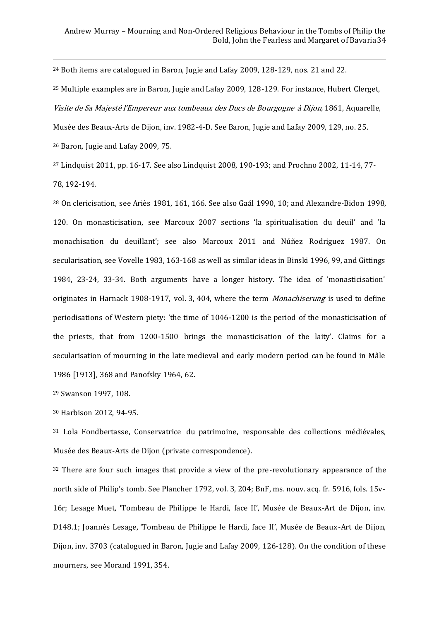<sup>24</sup> Both items are catalogued in Baron, Jugie and Lafay 2009, 128-129, nos. 21 and 22.

<sup>25</sup> Multiple examples are in Baron, Jugie and Lafay 2009, 128-129. For instance, Hubert Clerget, Visite de Sa Majesté l'Empereur aux tombeaux des Ducs de Bourgogne à Dijon, 1861, Aquarelle, Musée des Beaux-Arts de Dijon, inv. 1982-4-D. See Baron, Jugie and Lafay 2009, 129, no. 25. <sup>26</sup> Baron, Jugie and Lafay 2009, 75.

<sup>27</sup> Lindquist 2011, pp. 16-17. See also Lindquist 2008, 190-193; and Prochno 2002, 11-14, 77- 78, 192-194.

<sup>28</sup> On clericisation, see Ariès 1981, 161, 166. See also Gaál 1990, 10; and Alexandre-Bidon 1998, 120. On monasticisation, see Marcoux 2007 sections 'la spiritualisation du deuil' and 'la monachisation du deuillant'; see also Marcoux 2011 and Núñez Rodriguez 1987. On secularisation, see Vovelle 1983, 163-168 as well as similar ideas in Binski 1996, 99, and Gittings 1984, 23-24, 33-34. Both arguments have a longer history. The idea of 'monasticisation' originates in Harnack 1908-1917, vol. 3, 404, where the term Monachiserung is used to define periodisations of Western piety: 'the time of 1046-1200 is the period of the monasticisation of the priests, that from 1200-1500 brings the monasticisation of the laity'. Claims for a secularisation of mourning in the late medieval and early modern period can be found in Mâle 1986 [1913], 368 and Panofsky 1964, 62.

<sup>29</sup> Swanson 1997, 108.

<sup>30</sup> Harbison 2012, 94-95.

<sup>31</sup> Lola Fondbertasse, Conservatrice du patrimoine, responsable des collections médiévales, Musée des Beaux-Arts de Dijon (private correspondence).

<sup>32</sup> There are four such images that provide a view of the pre-revolutionary appearance of the north side of Philip's tomb. See Plancher 1792, vol. 3, 204; BnF, ms. nouv. acq. fr. 5916, fols. 15v-16r; Lesage Muet, 'Tombeau de Philippe le Hardi, face II', Musée de Beaux-Art de Dijon, inv. D148.1; Joannès Lesage, 'Tombeau de Philippe le Hardi, face II', Musée de Beaux-Art de Dijon, Dijon, inv. 3703 (catalogued in Baron, Jugie and Lafay 2009, 126-128). On the condition of these mourners, see Morand 1991, 354.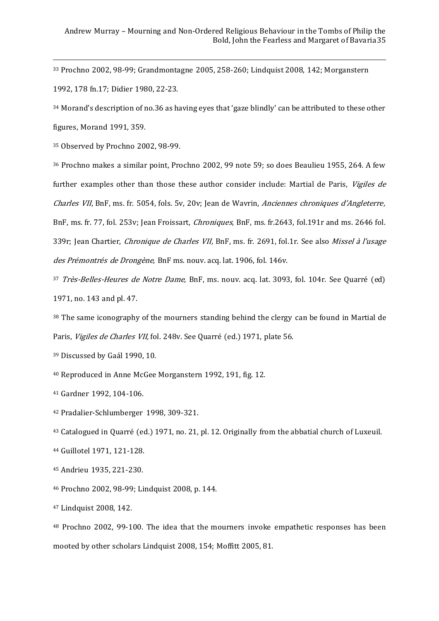<sup>33</sup> Prochno 2002, 98-99; Grandmontagne 2005, 258-260; Lindquist 2008, 142; Morganstern 1992, 178 fn.17; Didier 1980, 22-23.

<sup>34</sup> Morand's description of no.36 as having eyes that 'gaze blindly' can be attributed to these other figures, Morand 1991, 359.

<sup>35</sup> Observed by Prochno 2002, 98-99.

<sup>36</sup> Prochno makes a similar point, Prochno 2002, 99 note 59; so does Beaulieu 1955, 264. A few further examples other than those these author consider include: Martial de Paris, Vigiles de Charles VII, BnF, ms. fr. 5054, fols. 5v, 20v; Jean de Wavrin, Anciennes chroniques d'Angleterre, BnF, ms. fr. 77, fol. 253v; Jean Froissart, Chroniques, BnF, ms. fr.2643, fol.191r and ms. 2646 fol. 339r; Jean Chartier, Chronique de Charles VII, BnF, ms. fr. 2691, fol.1r. See also Missel à l'usage des Prémontrés de Drongène, BnF ms. nouv. acq. lat. 1906, fol. 146v.

<sup>37</sup> Très-Belles-Heures de Notre Dame, BnF, ms. nouv. acq. lat. 3093, fol. 104r. See Quarré (ed) 1971, no. 143 and pl. 47.

<sup>38</sup> The same iconography of the mourners standing behind the clergy can be found in Martial de Paris, Vigiles de Charles VII, fol. 248v. See Quarré (ed.) 1971, plate 56.

<sup>39</sup> Discussed by Gaál 1990, 10.

<sup>40</sup> Reproduced in Anne McGee Morganstern 1992, 191, fig. 12.

<sup>41</sup> Gardner 1992, 104-106.

<sup>42</sup> Pradalier-Schlumberger 1998, 309-321.

<sup>43</sup> Catalogued in Quarré (ed.) 1971, no. 21, pl. 12. Originally from the abbatial church of Luxeuil.

<sup>44</sup> Guillotel 1971, 121-128.

<sup>45</sup> Andrieu 1935, 221-230.

<sup>46</sup> Prochno 2002, 98-99; Lindquist 2008, p. 144.

<sup>47</sup> Lindquist 2008, 142.

<sup>48</sup> Prochno 2002, 99-100. The idea that the mourners invoke empathetic responses has been mooted by other scholars Lindquist 2008, 154; Moffitt 2005, 81.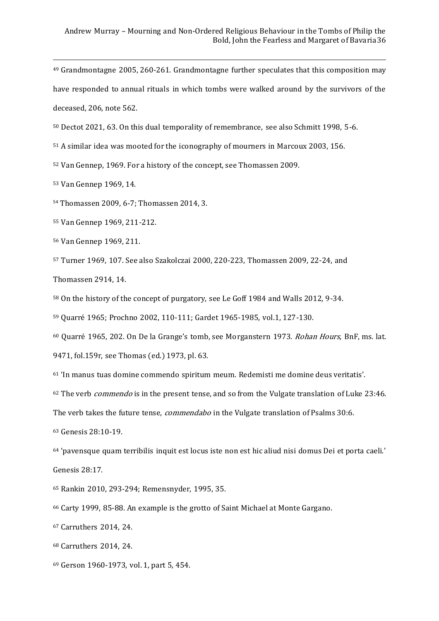Grandmontagne 2005, 260-261. Grandmontagne further speculates that this composition may have responded to annual rituals in which tombs were walked around by the survivors of the deceased, 206, note 562.

Dectot 2021, 63. On this dual temporality of remembrance, see also Schmitt 1998, 5-6.

A similar idea was mooted for the iconography of mourners in Marcoux 2003, 156.

Van Gennep, 1969. For a history of the concept, see Thomassen 2009.

Van Gennep 1969, 14.

Thomassen 2009, 6-7; Thomassen 2014, 3.

Van Gennep 1969, 211-212.

Van Gennep 1969, 211.

Turner 1969, 107. See also Szakolczai 2000, 220-223, Thomassen 2009, 22-24, and

Thomassen 2914, 14.

On the history of the concept of purgatory, see Le Goff 1984 and Walls 2012, 9-34.

Quarré 1965; Prochno 2002, 110-111; Gardet 1965-1985, vol.1, 127-130.

Quarré 1965, 202. On De la Grange's tomb, see Morganstern 1973. Rohan Hours, BnF, ms. lat.

9471, fol.159r, see Thomas (ed.) 1973, pl. 63.

'In manus tuas domine commendo spiritum meum. Redemisti me domine deus veritatis'.

The verb *commendo* is in the present tense, and so from the Vulgate translation of Luke 23:46.

The verb takes the future tense, *commendabo* in the Vulgate translation of Psalms 30:6.

Genesis 28:10-19.

'pavensque quam terribilis inquit est locus iste non est hic aliud nisi domus Dei et porta caeli.'

Genesis 28:17.

Rankin 2010, 293-294; Remensnyder, 1995, 35.

Carty 1999, 85-88. An example is the grotto of Saint Michael at Monte Gargano.

Carruthers 2014, 24.

Carruthers 2014, 24.

Gerson 1960-1973, vol. 1, part 5, 454.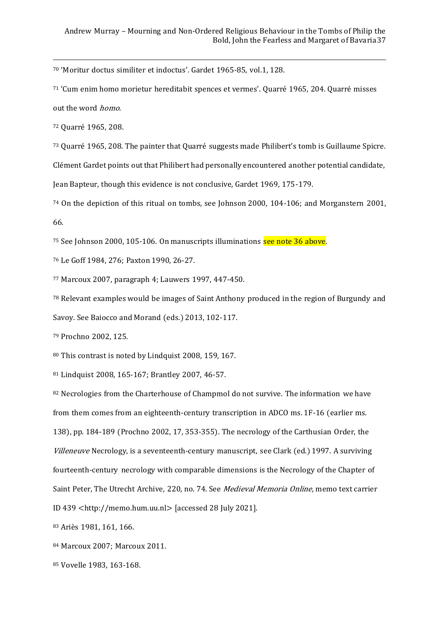<sup>70</sup> 'Moritur doctus similiter et indoctus'. Gardet 1965-85, vol.1, 128.

<sup>71</sup> 'Cum enim homo morietur hereditabit spences et vermes'. Quarré 1965, 204. Quarré misses out the word *homo*.

<sup>72</sup> Quarré 1965, 208.

<sup>73</sup> Quarré 1965, 208. The painter that Quarré suggests made Philibert's tomb is Guillaume Spicre.

Clément Gardet points out that Philibert had personally encountered another potential candidate,

Jean Bapteur, though this evidence is not conclusive, Gardet 1969, 175-179.

<sup>74</sup> On the depiction of this ritual on tombs, see Johnson 2000, 104-106; and Morganstern 2001, 66.

<sup>75</sup> See Johnson 2000, 105-106. On manuscripts illuminations see note 36 above.

<sup>76</sup> Le Goff 1984, 276; Paxton 1990, 26-27.

<sup>77</sup> Marcoux 2007, paragraph 4; Lauwers 1997, 447-450.

<sup>78</sup> Relevant examples would be images of Saint Anthony produced in the region of Burgundy and Savoy. See Baiocco and Morand (eds.) 2013, 102-117.

<sup>79</sup> Prochno 2002, 125.

<sup>80</sup> This contrast is noted by Lindquist 2008, 159, 167.

<sup>81</sup> Lindquist 2008, 165-167; Brantley 2007, 46-57.

82 Necrologies from the Charterhouse of Champmol do not survive. The information we have from them comes from an eighteenth-century transcription in ADCO ms. 1F-16 (earlier ms. 138), pp. 184-189 (Prochno 2002, 17, 353-355). The necrology of the Carthusian Order, the Villeneuve Necrology, is a seventeenth-century manuscript, see Clark (ed.) 1997. A surviving fourteenth-century necrology with comparable dimensions is the Necrology of the Chapter of Saint Peter, The Utrecht Archive, 220, no. 74. See Medieval Memoria Online, memo text carrier ID 439 <http://memo.hum.uu.nl> [accessed 28 July 2021].

<sup>83</sup> Ariès 1981, 161, 166.

<sup>84</sup> Marcoux 2007; Marcoux 2011.

<sup>85</sup> Vovelle 1983, 163-168.